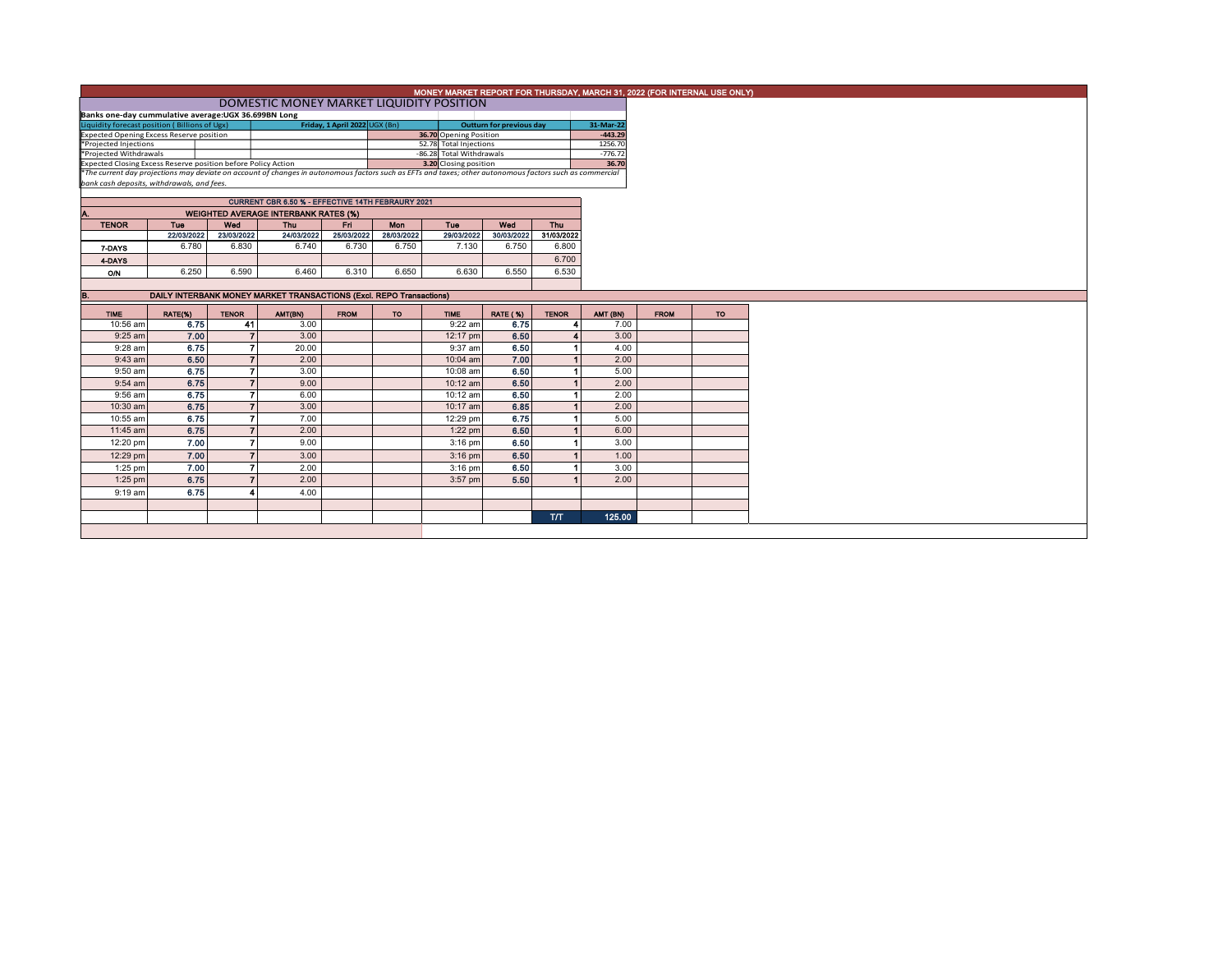|                                                                                                                                                          | MONEY MARKET REPORT FOR THURSDAY, MARCH 31, 2022 (FOR INTERNAL USE ONLY) |                   |                                                   |                               |                   |                                                    |                                 |                      |                      |             |    |  |
|----------------------------------------------------------------------------------------------------------------------------------------------------------|--------------------------------------------------------------------------|-------------------|---------------------------------------------------|-------------------------------|-------------------|----------------------------------------------------|---------------------------------|----------------------|----------------------|-------------|----|--|
|                                                                                                                                                          | DOMESTIC MONEY MARKET LIQUIDITY POSITION                                 |                   |                                                   |                               |                   |                                                    |                                 |                      |                      |             |    |  |
|                                                                                                                                                          | Banks one-day cummulative average: UGX 36.699BN Long                     |                   |                                                   |                               |                   |                                                    |                                 |                      |                      |             |    |  |
| Liquidity forecast position (Billions of Ugx)                                                                                                            |                                                                          |                   |                                                   | Friday, 1 April 2022 UGX (Bn) |                   | 36.70 Opening Position                             | <b>Outturn for previous day</b> |                      | 31-Mar-22            |             |    |  |
| Expected Opening Excess Reserve position                                                                                                                 |                                                                          |                   |                                                   |                               |                   |                                                    |                                 |                      | $-443.29$            |             |    |  |
| *Projected Injections                                                                                                                                    |                                                                          |                   |                                                   |                               |                   | 52.78 Total Injections<br>-86.28 Total Withdrawals |                                 |                      | 1256.70<br>$-776.72$ |             |    |  |
| *Projected Withdrawals<br>Expected Closing Excess Reserve position before Policy Action                                                                  |                                                                          |                   |                                                   |                               |                   | 3.20 Closing position                              |                                 |                      | 36.70                |             |    |  |
| *The current day projections may deviate on account of changes in autonomous factors such as EFTs and taxes; other autonomous factors such as commercial |                                                                          |                   |                                                   |                               |                   |                                                    |                                 |                      |                      |             |    |  |
| bank cash deposits, withdrawals, and fees.                                                                                                               |                                                                          |                   |                                                   |                               |                   |                                                    |                                 |                      |                      |             |    |  |
|                                                                                                                                                          |                                                                          |                   |                                                   |                               |                   |                                                    |                                 |                      |                      |             |    |  |
|                                                                                                                                                          |                                                                          |                   | CURRENT CBR 6.50 % - EFFECTIVE 14TH FEBRAURY 2021 |                               |                   |                                                    |                                 |                      |                      |             |    |  |
| A.                                                                                                                                                       |                                                                          |                   | <b>WEIGHTED AVERAGE INTERBANK RATES (%)</b>       |                               |                   |                                                    |                                 |                      |                      |             |    |  |
| <b>TENOR</b>                                                                                                                                             | Tue<br>22/03/2022                                                        | Wed<br>23/03/2022 | Thu<br>24/03/2022                                 | Eri I<br>25/03/2022           | Mon<br>28/03/2022 | Tue<br>29/03/2022                                  | Wed<br>30/03/2022               | Thu<br>31/03/2022    |                      |             |    |  |
|                                                                                                                                                          | 6.780                                                                    | 6.830             | 6.740                                             | 6.730                         | 6.750             | 7.130                                              | 6.750                           | 6.800                |                      |             |    |  |
| 7-DAYS                                                                                                                                                   |                                                                          |                   |                                                   |                               |                   |                                                    |                                 |                      |                      |             |    |  |
| 4-DAYS                                                                                                                                                   |                                                                          |                   |                                                   |                               |                   |                                                    |                                 | 6.700                |                      |             |    |  |
| <b>O/N</b>                                                                                                                                               | 6.250                                                                    | 6.590             | 6.460                                             | 6.310                         | 6.650             | 6.630                                              | 6.550                           | 6.530                |                      |             |    |  |
|                                                                                                                                                          |                                                                          |                   |                                                   |                               |                   |                                                    |                                 |                      |                      |             |    |  |
| B.                                                                                                                                                       | DAILY INTERBANK MONEY MARKET TRANSACTIONS (Excl. REPO Transactions)      |                   |                                                   |                               |                   |                                                    |                                 |                      |                      |             |    |  |
| <b>TIME</b>                                                                                                                                              | RATE(%)                                                                  | <b>TENOR</b>      | AMT(BN)                                           | <b>FROM</b>                   | <b>TO</b>         | <b>TIME</b>                                        | <b>RATE (%)</b>                 | <b>TENOR</b>         | AMT (BN)             | <b>FROM</b> | TO |  |
| 10:56 am                                                                                                                                                 | 6.75                                                                     | 41                | 3.00                                              |                               |                   | $9:22$ am                                          | 6.75                            | 4                    | 7.00                 |             |    |  |
| 9:25 am                                                                                                                                                  | 7.00                                                                     | $\overline{7}$    | 3.00                                              |                               |                   | 12:17 pm                                           | 6.50                            |                      | 3.00                 |             |    |  |
| 9:28 am                                                                                                                                                  | 6.75                                                                     | $\overline{ }$    | 20.00                                             |                               |                   | 9:37 am                                            | 6.50                            |                      | 4.00                 |             |    |  |
| $9:43$ am                                                                                                                                                | 6.50                                                                     | $\overline{7}$    | 2.00                                              |                               |                   | $10:04$ am                                         | 7.00                            |                      | 2.00                 |             |    |  |
| 9:50 am                                                                                                                                                  | 6.75                                                                     | $\overline{7}$    | 3.00                                              |                               |                   | 10:08 am                                           | 6.50                            | 1                    | 5.00                 |             |    |  |
| 9:54 am                                                                                                                                                  | 6.75                                                                     | $\overline{7}$    | 9.00                                              |                               |                   | 10:12 am                                           | 6.50                            | $\blacktriangleleft$ | 2.00                 |             |    |  |
| 9:56 am                                                                                                                                                  | 6.75                                                                     | $\overline{7}$    | 6.00                                              |                               |                   | 10:12 am                                           | 6.50                            | 1                    | 2.00                 |             |    |  |
| 10:30 am                                                                                                                                                 | 6.75                                                                     | $\overline{7}$    | 3.00                                              |                               |                   | 10:17 am                                           | 6.85                            | $\blacktriangleleft$ | 2.00                 |             |    |  |
| 10:55 am                                                                                                                                                 | 6.75                                                                     | $\overline{7}$    | 7.00                                              |                               |                   | 12:29 pm                                           | 6.75                            | 1                    | 5.00                 |             |    |  |
| 11:45 am                                                                                                                                                 | 6.75                                                                     | $\overline{7}$    | 2.00                                              |                               |                   | $1:22$ pm                                          | 6.50                            |                      | 6.00                 |             |    |  |
| 12:20 pm                                                                                                                                                 | 7.00                                                                     | $\overline{ }$    | 9.00                                              |                               |                   | $3:16$ pm                                          | 6.50                            |                      | 3.00                 |             |    |  |
|                                                                                                                                                          |                                                                          | $\overline{7}$    |                                                   |                               |                   |                                                    |                                 | $\blacktriangleleft$ |                      |             |    |  |
| 12:29 pm                                                                                                                                                 | 7.00                                                                     |                   | 3.00                                              |                               |                   | $3:16$ pm                                          | 6.50                            |                      | 1.00                 |             |    |  |
| $1:25$ pm                                                                                                                                                | 7.00                                                                     | $\overline{7}$    | 2.00                                              |                               |                   | $3:16$ pm                                          | 6.50                            | 1                    | 3.00                 |             |    |  |
| $1:25$ pm                                                                                                                                                | 6.75                                                                     | $\overline{ }$    | 2.00                                              |                               |                   | 3:57 pm                                            | 5.50                            |                      | 2.00                 |             |    |  |
| $9:19$ am                                                                                                                                                | 6.75                                                                     |                   | 4.00                                              |                               |                   |                                                    |                                 |                      |                      |             |    |  |
|                                                                                                                                                          |                                                                          |                   |                                                   |                               |                   |                                                    |                                 |                      |                      |             |    |  |
|                                                                                                                                                          |                                                                          |                   |                                                   |                               |                   |                                                    |                                 | <b>T/T</b>           | 125.00               |             |    |  |
|                                                                                                                                                          |                                                                          |                   |                                                   |                               |                   |                                                    |                                 |                      |                      |             |    |  |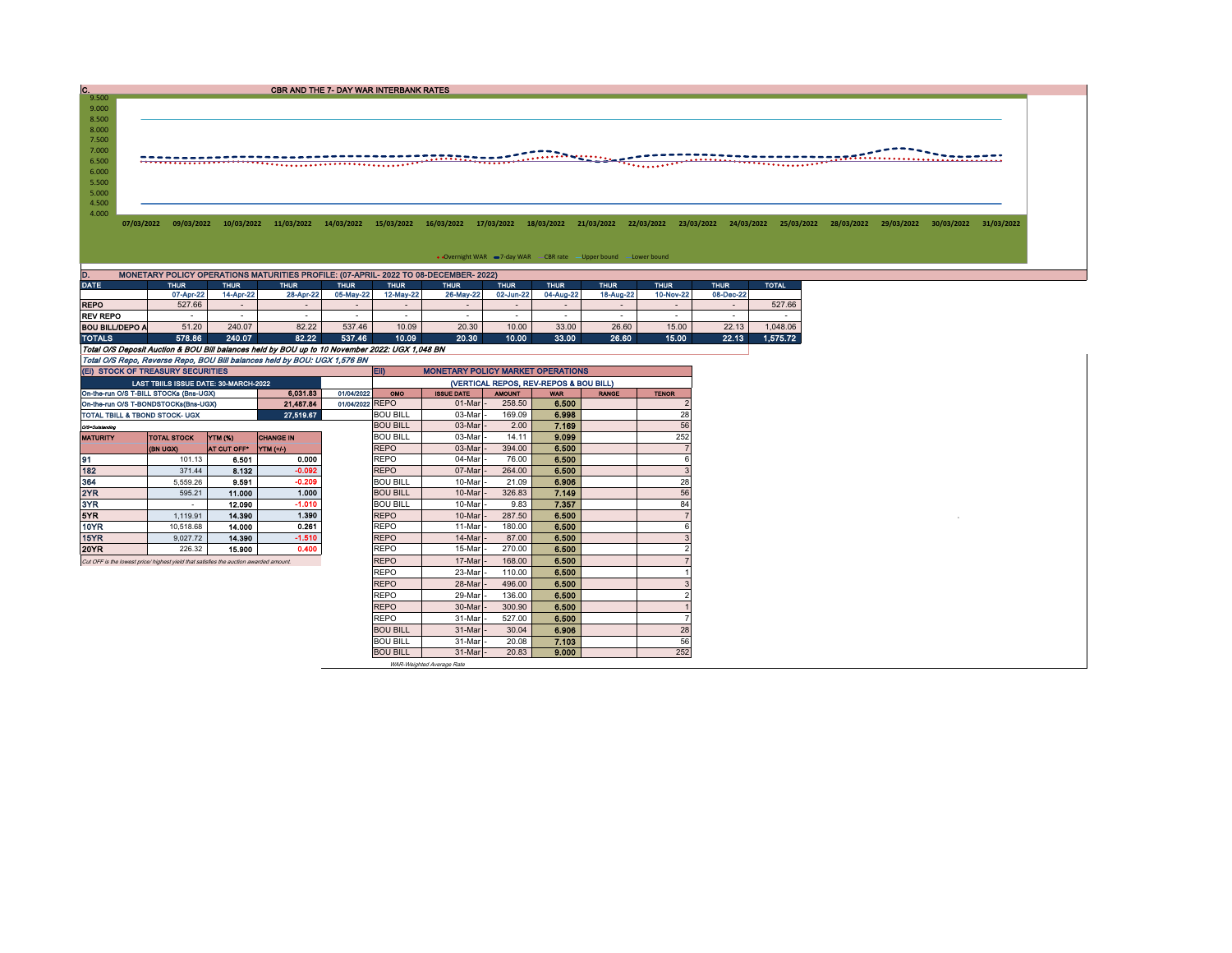CBR AND THE 7- DAY WAR INTERBANK RATES

6.500 8.500<br>8.000<br>7.500<br>7.000

9.000  $C.  
9.500$ 

## 4.000 4.500 5.000 5.500 6.000

07/03/2022 09/03/2022 10/03/2022 11/03/2022 14/03/2022 15/03/2022 16/03/2022 17/03/2022 18/03/2022 21/03/2022 22/03/2022 23/03/2022 24/03/2022 25/03/2022 28/03/2022 29/03/2022 30/03/2022 31/03/2023 30/03/2022 31/03/2022 20

• Overnight WAR = 7-day WAR CBR rate - Upper bound - Lower bound

| D.                                                                                             | MONETARY POLICY OPERATIONS MATURITIES PROFILE: (07-APRIL- 2022 TO 08-DECEMBER- 2022) |                          |                          |             |                          |                          |                          |                          |                          |                          |             |              |  |  |  |
|------------------------------------------------------------------------------------------------|--------------------------------------------------------------------------------------|--------------------------|--------------------------|-------------|--------------------------|--------------------------|--------------------------|--------------------------|--------------------------|--------------------------|-------------|--------------|--|--|--|
| <b>DATE</b>                                                                                    | <b>THUR</b>                                                                          | <b>THUR</b>              | <b>THUR</b>              | <b>THUR</b> | <b>THUR</b>              | <b>THUR</b>              | <b>THUR</b>              | <b>THUR</b>              | <b>THUR</b>              | <b>THUR</b>              | <b>THUR</b> | <b>TOTAL</b> |  |  |  |
|                                                                                                | 07-Apr-22                                                                            | 14-Apr-22                | 28-Apr-22                | 05-May-22   | 12-May-22                | 26-May-22                | 02-Jun-22                | 04-Aug-22                | 18-Aug-22                | 10-Nov-22                | 08-Dec-22   |              |  |  |  |
| <b>REPO</b>                                                                                    | 527.66                                                                               | $\overline{\phantom{0}}$ | $\overline{\phantom{0}}$ | $\sim$      | $\overline{\phantom{a}}$ | $\overline{\phantom{a}}$ | $\overline{\phantom{0}}$ | $\overline{\phantom{a}}$ | $\overline{\phantom{a}}$ | $\overline{\phantom{a}}$ | $\sim$      | 527.66       |  |  |  |
| <b>REV REPO</b>                                                                                | -                                                                                    |                          |                          |             |                          |                          | -                        | -                        | -                        |                          |             |              |  |  |  |
| <b>BOU BILL/DEPO A</b>                                                                         | 51.20                                                                                | 240.07                   | 82.22                    | 537.46      | 10.09                    | 20.30                    | 10.00                    | 33.00                    | 26.60                    | 15.00                    | 22.13       | 1.048.06     |  |  |  |
| <b>TOTALS</b>                                                                                  | 578.86                                                                               | 240.07                   | 82.22                    | 537.46      | 10.09                    | 20.30                    | 10.00                    | 33.00                    | 26.60                    | 15.00                    | 22.13       | 1.575.72     |  |  |  |
| Total O/S Deposit Auction & BOU Bill balances held by BOU up to 10 November 2022: UGX 1.048 BN |                                                                                      |                          |                          |             |                          |                          |                          |                          |                          |                          |             |              |  |  |  |
| Total O/S Repo. Reverse Repo. BOU Bill balances held by BOU: UGX 1.576 BN                      |                                                                                      |                          |                          |             |                          |                          |                          |                          |                          |                          |             |              |  |  |  |

|                                | (EI) STOCK OF TREASURY SECURITIES                                                     |                 |                  |                 | <b>ED</b><br><b>MONETARY POLICY MARKET OPERATIONS</b> |                     |               |            |              |              |  |  |  |
|--------------------------------|---------------------------------------------------------------------------------------|-----------------|------------------|-----------------|-------------------------------------------------------|---------------------|---------------|------------|--------------|--------------|--|--|--|
|                                | LAST TBIILS ISSUE DATE: 30-MARCH-2022                                                 |                 |                  |                 | (VERTICAL REPOS, REV-REPOS & BOU BILL)                |                     |               |            |              |              |  |  |  |
|                                | On-the-run O/S T-BILL STOCKs (Bns-UGX)                                                |                 | 6.031.83         | 01/04/2022      | <b>OMO</b>                                            | <b>ISSUE DATE</b>   | <b>AMOUNT</b> | <b>WAR</b> | <b>RANGE</b> | <b>TENOR</b> |  |  |  |
|                                | On-the-run O/S T-BONDSTOCKs(Bns-UGX)                                                  |                 | 21.487.84        | 01/04/2022 REPO |                                                       | 01-Mar              | 258.50        | 6.500      |              |              |  |  |  |
| TOTAL TBILL & TBOND STOCK- UGX |                                                                                       | <b>BOU BILL</b> | 03-Mar           | 169.09          | 6.998                                                 |                     | 28            |            |              |              |  |  |  |
| O/S=Outstanding                |                                                                                       |                 |                  |                 | <b>BOU BILL</b>                                       | 03-Mar              | 2.00          | 7.169      |              | 56           |  |  |  |
| <b>MATURITY</b>                | <b>TOTAL STOCK</b>                                                                    | <b>YTM (%)</b>  | <b>CHANGE IN</b> |                 | <b>BOU BILL</b>                                       | 03-Mar              | 14.11         | 9.099      |              | 252          |  |  |  |
|                                | (BN UGX)                                                                              | AT CUT OFF*     | <b>YTM</b> (+/-) |                 | <b>REPO</b>                                           | 03-Mar              | 394.00        | 6,500      |              |              |  |  |  |
| 91                             | 101.13                                                                                | 6.501           | 0.000            |                 | <b>REPO</b>                                           | 04-Mar              | 76.00         | 6.500      |              | ĥ            |  |  |  |
| 182                            | 371.44                                                                                | 8.132           | $-0.092$         |                 | <b>REPO</b>                                           | 07-Mar              | 264.00        | 6.500      |              |              |  |  |  |
| 364                            | 5.559.26                                                                              | 9.591           | $-0.209$         |                 | <b>BOU BILL</b>                                       | 10-Mar              | 21.09         | 6.906      |              | 28           |  |  |  |
| 2YR                            | 595.21                                                                                | 11.000          | 1.000            |                 | <b>BOU BILL</b>                                       | 10-Mar              | 326.83        | 7.149      |              | 56           |  |  |  |
| 3YR                            | $\overline{\phantom{a}}$                                                              | 12.090          | $-1.010$         |                 | <b>BOU BILL</b>                                       | 10-Mar              | 9.83          | 7.357      |              | 84           |  |  |  |
| 5YR                            | 1.119.91                                                                              | 14.390          | 1.390            |                 | <b>REPO</b>                                           | 10-Mar              | 287.50        | 6.500      |              |              |  |  |  |
| 10YR                           | 10.518.68                                                                             | 14.000          | 0.261            |                 | <b>REPO</b>                                           | 11-Mar              | 180.00        | 6.500      |              |              |  |  |  |
| 15YR                           | 9.027.72                                                                              | 14.390          | $-1.510$         |                 | <b>REPO</b>                                           | 14-Mar              | 87.00         | 6.500      |              |              |  |  |  |
| 20YR                           | 226.32                                                                                | 15,900          | 0.400            |                 | <b>REPO</b>                                           | 15-Mar              | 270.00        | 6.500      |              |              |  |  |  |
|                                | Cut OFF is the lowest price/ highest yield that satisfies the auction awarded amount. |                 |                  |                 | <b>REPO</b>                                           | 17-Mar              | 168.00        | 6.500      |              |              |  |  |  |
|                                |                                                                                       |                 |                  |                 | <b>REPO</b>                                           | 23-Mar              | 110.00        | 6.500      |              |              |  |  |  |
|                                |                                                                                       |                 |                  |                 | <b>REPO</b>                                           | 28-Mar              | 496.00        | 6.500      |              |              |  |  |  |
|                                |                                                                                       |                 |                  |                 | <b>REPO</b>                                           | 29-Mar              | 136.00        | 6.500      |              |              |  |  |  |
|                                |                                                                                       |                 |                  |                 | <b>REPO</b>                                           | 30-Mar              | 300.90        | 6.500      |              |              |  |  |  |
|                                |                                                                                       |                 |                  |                 | <b>REPO</b>                                           | 31-Mar              | 527.00        | 6.500      |              |              |  |  |  |
|                                |                                                                                       |                 |                  |                 | <b>BOU BILL</b>                                       | 31-Mar              | 30.04         | 6.906      |              | 28           |  |  |  |
|                                |                                                                                       |                 |                  |                 | <b>BOU BILL</b>                                       | 31-Mar              | 20.08         | 7.103      |              | 56           |  |  |  |
|                                |                                                                                       |                 |                  |                 | <b>BOU BILL</b>                                       | $31$ -Mar $\vert$ - | 20.83         | 9.000      |              | 252          |  |  |  |
|                                |                                                                                       |                 |                  |                 |                                                       |                     |               |            |              |              |  |  |  |

WAR-Weighted Average Rate